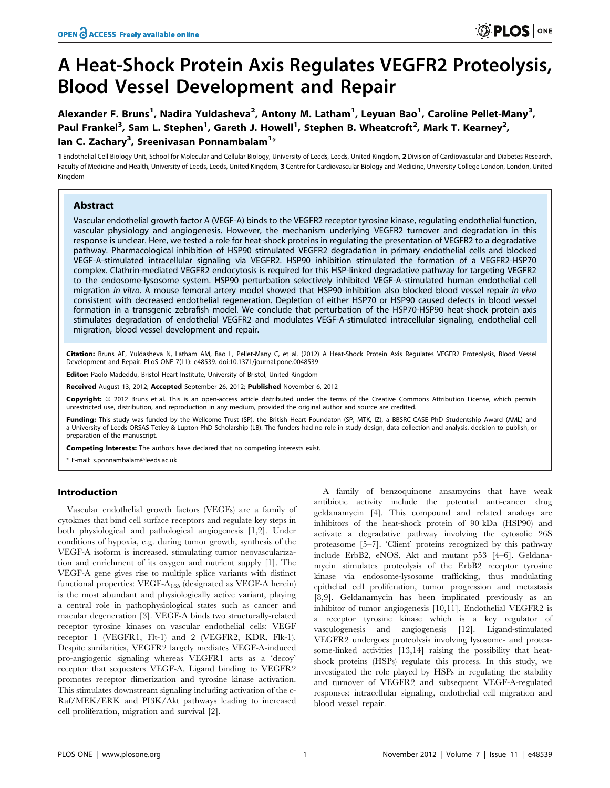# A Heat-Shock Protein Axis Regulates VEGFR2 Proteolysis, Blood Vessel Development and Repair

Alexander F. Bruns<sup>1</sup>, Nadira Yuldasheva<sup>2</sup>, Antony M. Latham<sup>1</sup>, Leyuan Bao<sup>1</sup>, Caroline Pellet-Many<sup>3</sup>, Paul Frankel<sup>3</sup>, Sam L. Stephen<sup>1</sup>, Gareth J. Howell<sup>1</sup>, Stephen B. Wheatcroft<sup>2</sup>, Mark T. Kearney<sup>2</sup>, lan C. Zachary<sup>3</sup>, Sreenivasan Ponnambalam<sup>1</sup>\*

1 Endothelial Cell Biology Unit, School for Molecular and Cellular Biology, University of Leeds, Leeds, United Kingdom, 2 Division of Cardiovascular and Diabetes Research, Faculty of Medicine and Health, University of Leeds, Leeds, United Kingdom, 3 Centre for Cardiovascular Biology and Medicine, University College London, London, United Kingdom

# Abstract

Vascular endothelial growth factor A (VEGF-A) binds to the VEGFR2 receptor tyrosine kinase, regulating endothelial function, vascular physiology and angiogenesis. However, the mechanism underlying VEGFR2 turnover and degradation in this response is unclear. Here, we tested a role for heat-shock proteins in regulating the presentation of VEGFR2 to a degradative pathway. Pharmacological inhibition of HSP90 stimulated VEGFR2 degradation in primary endothelial cells and blocked VEGF-A-stimulated intracellular signaling via VEGFR2. HSP90 inhibition stimulated the formation of a VEGFR2-HSP70 complex. Clathrin-mediated VEGFR2 endocytosis is required for this HSP-linked degradative pathway for targeting VEGFR2 to the endosome-lysosome system. HSP90 perturbation selectively inhibited VEGF-A-stimulated human endothelial cell migration in vitro. A mouse femoral artery model showed that HSP90 inhibition also blocked blood vessel repair in vivo consistent with decreased endothelial regeneration. Depletion of either HSP70 or HSP90 caused defects in blood vessel formation in a transgenic zebrafish model. We conclude that perturbation of the HSP70-HSP90 heat-shock protein axis stimulates degradation of endothelial VEGFR2 and modulates VEGF-A-stimulated intracellular signaling, endothelial cell migration, blood vessel development and repair.

Citation: Bruns AF, Yuldasheva N, Latham AM, Bao L, Pellet-Many C, et al. (2012) A Heat-Shock Protein Axis Regulates VEGFR2 Proteolysis, Blood Vessel Development and Repair. PLoS ONE 7(11): e48539. doi:10.1371/journal.pone.0048539

Editor: Paolo Madeddu, Bristol Heart Institute, University of Bristol, United Kingdom

Received August 13, 2012; Accepted September 26, 2012; Published November 6, 2012

Copyright: © 2012 Bruns et al. This is an open-access article distributed under the terms of the Creative Commons Attribution License, which permits unrestricted use, distribution, and reproduction in any medium, provided the original author and source are credited.

Funding: This study was funded by the Wellcome Trust (SP), the British Heart Foundaton (SP, MTK, IZ), a BBSRC-CASE PhD Studentship Award (AML) and a University of Leeds ORSAS Tetley & Lupton PhD Scholarship (LB). The funders had no role in study design, data collection and analysis, decision to publish, or preparation of the manuscript.

Competing Interests: The authors have declared that no competing interests exist.

\* E-mail: s.ponnambalam@leeds.ac.uk

## Introduction

Vascular endothelial growth factors (VEGFs) are a family of cytokines that bind cell surface receptors and regulate key steps in both physiological and pathological angiogenesis [1,2]. Under conditions of hypoxia, e.g. during tumor growth, synthesis of the VEGF-A isoform is increased, stimulating tumor neovascularization and enrichment of its oxygen and nutrient supply [1]. The VEGF-A gene gives rise to multiple splice variants with distinct functional properties:  $VEGF-A<sub>165</sub>$  (designated as VEGF-A herein) is the most abundant and physiologically active variant, playing a central role in pathophysiological states such as cancer and macular degeneration [3]. VEGF-A binds two structurally-related receptor tyrosine kinases on vascular endothelial cells: VEGF receptor 1 (VEGFR1, Flt-1) and 2 (VEGFR2, KDR, Flk-1). Despite similarities, VEGFR2 largely mediates VEGF-A-induced pro-angiogenic signaling whereas VEGFR1 acts as a 'decoy' receptor that sequesters VEGF-A. Ligand binding to VEGFR2 promotes receptor dimerization and tyrosine kinase activation. This stimulates downstream signaling including activation of the c-Raf/MEK/ERK and PI3K/Akt pathways leading to increased cell proliferation, migration and survival [2].

A family of benzoquinone ansamycins that have weak antibiotic activity include the potential anti-cancer drug geldanamycin [4]. This compound and related analogs are inhibitors of the heat-shock protein of 90 kDa (HSP90) and activate a degradative pathway involving the cytosolic 26S proteasome [5–7]. 'Client' proteins recognized by this pathway include ErbB2, eNOS, Akt and mutant p53 [4–6]. Geldanamycin stimulates proteolysis of the ErbB2 receptor tyrosine kinase via endosome-lysosome trafficking, thus modulating epithelial cell proliferation, tumor progression and metastasis [8,9]. Geldanamycin has been implicated previously as an inhibitor of tumor angiogenesis [10,11]. Endothelial VEGFR2 is a receptor tyrosine kinase which is a key regulator of vasculogenesis and angiogenesis [12]. Ligand-stimulated VEGFR2 undergoes proteolysis involving lysosome- and proteasome-linked activities [13,14] raising the possibility that heatshock proteins (HSPs) regulate this process. In this study, we investigated the role played by HSPs in regulating the stability and turnover of VEGFR2 and subsequent VEGF-A-regulated responses: intracellular signaling, endothelial cell migration and blood vessel repair.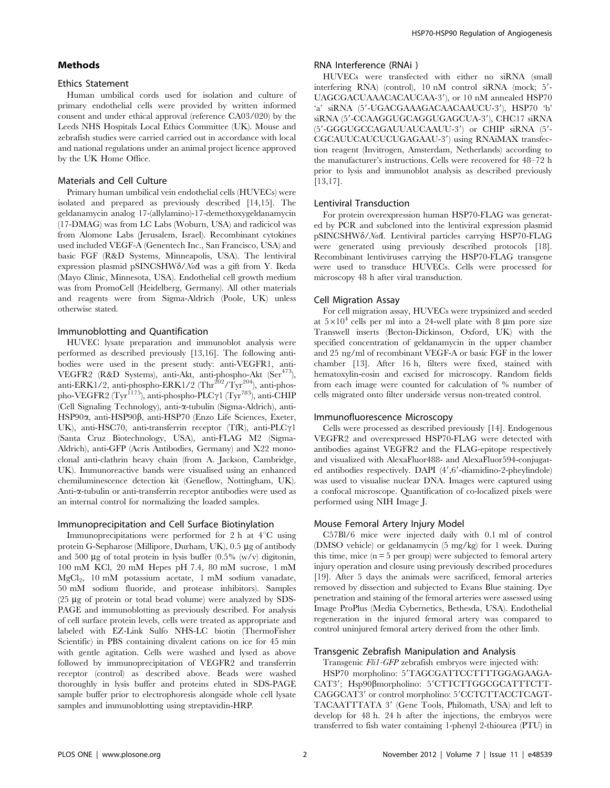## Methods

#### Ethics Statement

Human umbilical cords used for isolation and culture of primary endothelial cells were provided by written informed consent and under ethical approval (reference CA03/020) by the Leeds NHS Hospitals Local Ethics Committee (UK). Mouse and zebrafish studies were carried carried out in accordance with local and national regulations under an animal project licence approved by the UK Home Office.

#### Materials and Cell Culture

Primary human umbilical vein endothelial cells (HUVECs) were isolated and prepared as previously described [14,15]. The geldanamycin analog 17-(allylamino)-17-demethoxygeldanamycin (17-DMAG) was from LC Labs (Woburn, USA) and radicicol was from Alomone Labs (Jerusalem, Israel). Recombinant cytokines used included VEGF-A (Genentech Inc., San Francisco, USA) and basic FGF (R&D Systems, Minneapolis, USA). The lentiviral expression plasmid pSINCSHW $\delta$ /NotI was a gift from Y. Ikeda (Mayo Clinic, Minnesota, USA). Endothelial cell growth medium was from PromoCell (Heidelberg, Germany). All other materials and reagents were from Sigma-Aldrich (Poole, UK) unless otherwise stated.

# Immunoblotting and Quantification

HUVEC lysate preparation and immunoblot analysis were performed as described previously [13,16]. The following antibodies were used in the present study: anti-VEGFR1, anti-VEGFR2 (R&D Systems), anti-Akt, anti-phospho-Akt (Ser<sup>473</sup>), anti-ERK1/2, anti-phospho-ERK1/2 (Thr<sup>202</sup>/Tyr<sup>204</sup>), anti-phospho-VEGFR2 (Tyr<sup>1175</sup>), anti-phospho-PLC $\gamma$ 1 (Tyr<sup>783</sup>), anti-CHIP (Cell Signaling Technology), anti-a-tubulin (Sigma-Aldrich), anti-HSP90α, anti-HSP90β, anti-HSP70 (Enzo Life Sciences, Exeter, UK), anti-HSC70, anti-transferrin receptor (TfR), anti-PLC $\gamma$ 1 (Santa Cruz Biotechnology, USA), anti-FLAG M2 (Sigma-Aldrich), anti-GFP (Acris Antibodies, Germany) and X22 monoclonal anti-clathrin heavy chain (from A. Jackson, Cambridge, UK). Immunoreactive bands were visualised using an enhanced chemiluminescence detection kit (Geneflow, Nottingham, UK). Anti-a-tubulin or anti-transferrin receptor antibodies were used as an internal control for normalizing the loaded samples.

#### Immunoprecipitation and Cell Surface Biotinylation

Immunoprecipitations were performed for 2 h at  $4^{\circ}$ C using protein G-Sepharose (Millipore, Durham, UK), 0.5 µg of antibody and 500  $\mu$ g of total protein in lysis buffer (0.5% (w/v) digitonin, 100 mM KCl, 20 mM Hepes pH 7.4, 80 mM sucrose, 1 mM MgCl<sub>2</sub>, 10 mM potassium acetate, 1 mM sodium vanadate, 50 mM sodium fluoride, and protease inhibitors). Samples  $(25 \mu g)$  of protein or total bead volume) were analyzed by SDS-PAGE and immunoblotting as previously described. For analysis of cell surface protein levels, cells were treated as appropriate and labeled with EZ-Link Sulfo NHS-LC biotin (ThermoFisher Scientific) in PBS containing divalent cations on ice for 45 min with gentle agitation. Cells were washed and lysed as above followed by immunoprecipitation of VEGFR2 and transferrin receptor (control) as described above. Beads were washed thoroughly in lysis buffer and proteins eluted in SDS-PAGE sample buffer prior to electrophoresis alongside whole cell lysate samples and immunoblotting using streptavidin-HRP.

# RNA Interference (RNAi )

HUVECs were transfected with either no siRNA (small interfering RNA) (control), 10 nM control siRNA (mock; 5'-UAGCGACUAAACACAUCAA-3'), or 10 nM annealed HSP70 'a' siRNA (5'-UGACGAAAGACAACAAUCU-3'), HSP70 'b' siRNA (5'-CCAAGGUGCAGGUGAGCUA-3'), CHC17 siRNA (5'-GGGUGCCAGAUUAUCAAUU-3') or CHIP siRNA (5'-CGCAUUCAUCUCUGAGAAU-3') using RNAiMAX transfection reagent (Invitrogen, Amsterdam, Netherlands) according to the manufacturer's instructions. Cells were recovered for 48–72 h prior to lysis and immunoblot analysis as described previously [13,17].

#### Lentiviral Transduction

For protein overexpression human HSP70-FLAG was generated by PCR and subcloned into the lentiviral expression plasmid pSINCSHWd/NotI. Lentiviral particles carrying HSP70-FLAG were generated using previously described protocols [18]. Recombinant lentiviruses carrying the HSP70-FLAG transgene were used to transduce HUVECs. Cells were processed for microscopy 48 h after viral transduction.

### Cell Migration Assay

For cell migration assay, HUVECs were trypsinized and seeded at  $5\times10^4$  cells per ml into a 24-well plate with 8  $\mu$ m pore size Transwell inserts (Becton-Dickinson, Oxford, UK) with the specified concentration of geldanamycin in the upper chamber and 25 ng/ml of recombinant VEGF-A or basic FGF in the lower chamber [13]. After 16 h, filters were fixed, stained with hematoxylin-eosin and excised for microscopy. Random fields from each image were counted for calculation of % number of cells migrated onto filter underside versus non-treated control.

# Immunofluorescence Microscopy

Cells were processed as described previously [14]. Endogenous VEGFR2 and overexpressed HSP70-FLAG were detected with antibodies against VEGFR2 and the FLAG-epitope respectively and visualized with AlexaFluor488- and AlexaFluor594-conjugated antibodies respectively. DAPI  $(4', 6'$ -diamidino-2-pheylindole) was used to visualise nuclear DNA. Images were captured using a confocal microscope. Quantification of co-localized pixels were performed using NIH Image J.

#### Mouse Femoral Artery Injury Model

C57Bl/6 mice were injected daily with 0.1 ml of control (DMSO vehicle) or geldanamycin (5 mg/kg) for 1 week. During this time, mice  $(n = 5$  per group) were subjected to femoral artery injury operation and closure using previously described procedures [19]. After 5 days the animals were sacrificed, femoral arteries removed by dissection and subjected to Evans Blue staining. Dye penetration and staining of the femoral arteries were assessed using Image ProPlus (Media Cybernetics, Bethesda, USA). Endothelial regeneration in the injured femoral artery was compared to control uninjured femoral artery derived from the other limb.

### Transgenic Zebrafish Manipulation and Analysis

Transgenic Fli1-GFP zebrafish embryos were injected with:

HSP70 morpholino: 5'TAGCGATTCCTTTTGGAGAAGA-CAT3'; Hsp90ßmorpholino: 5'CTTCTTGGCGCATTTCTT-CAGGCAT3' or control morpholino: 5'CCTCTTACCTCAGT-TACAATTTATA 3' (Gene Tools, Philomath, USA) and left to develop for 48 h. 24 h after the injections, the embryos were transferred to fish water containing 1-phenyl 2-thiourea (PTU) in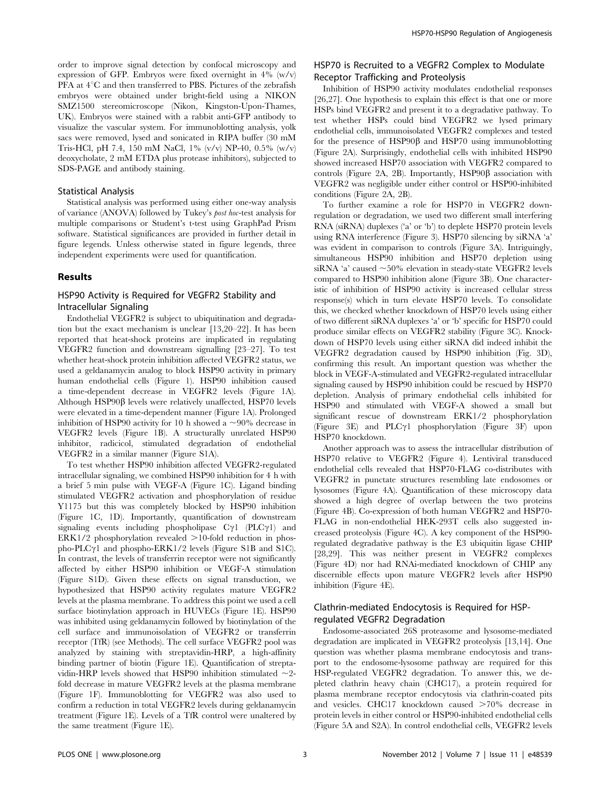order to improve signal detection by confocal microscopy and expression of GFP. Embryos were fixed overnight in  $4\%$  (w/v) PFA at  $4^{\circ}$ C and then transferred to PBS. Pictures of the zebrafish embryos were obtained under bright-field using a NIKON SMZ1500 stereomicroscope (Nikon, Kingston-Upon-Thames, UK). Embryos were stained with a rabbit anti-GFP antibody to visualize the vascular system. For immunoblotting analysis, yolk sacs were removed, lysed and sonicated in RIPA buffer (30 mM Tris-HCl, pH 7.4, 150 mM NaCl, 1% (v/v) NP-40, 0.5% (w/v) deoxycholate, 2 mM ETDA plus protease inhibitors), subjected to SDS-PAGE and antibody staining.

#### Statistical Analysis

Statistical analysis was performed using either one-way analysis of variance (ANOVA) followed by Tukey's post hoc-test analysis for multiple comparisons or Student's t-test using GraphPad Prism software. Statistical significances are provided in further detail in figure legends. Unless otherwise stated in figure legends, three independent experiments were used for quantification.

# Results

# HSP90 Activity is Required for VEGFR2 Stability and Intracellular Signaling

Endothelial VEGFR2 is subject to ubiquitination and degradation but the exact mechanism is unclear [13,20–22]. It has been reported that heat-shock proteins are implicated in regulating VEGFR2 function and downstream signalling [23–27]. To test whether heat-shock protein inhibition affected VEGFR2 status, we used a geldanamycin analog to block HSP90 activity in primary human endothelial cells (Figure 1). HSP90 inhibition caused a time-dependent decrease in VEGFR2 levels (Figure 1A). Although HSP90 $\beta$  levels were relatively unaffected, HSP70 levels were elevated in a time-dependent manner (Figure 1A). Prolonged inhibition of HSP90 activity for 10 h showed a  $\sim$ 90% decrease in VEGFR2 levels (Figure 1B). A structurally unrelated HSP90 inhibitor, radicicol, stimulated degradation of endothelial VEGFR2 in a similar manner (Figure S1A).

To test whether HSP90 inhibition affected VEGFR2-regulated intracellular signaling, we combined HSP90 inhibition for 4 h with a brief 5 min pulse with VEGF-A (Figure 1C). Ligand binding stimulated VEGFR2 activation and phosphorylation of residue Y1175 but this was completely blocked by HSP90 inhibition (Figure 1C, 1D). Importantly, quantification of downstream signaling events including phospholipase  $C\gamma1$  (PLC $\gamma1$ ) and  $ERK1/2$  phosphorylation revealed  $>10$ -fold reduction in phospho-PLC $\gamma$ 1 and phospho-ERK1/2 levels (Figure S1B and S1C). In contrast, the levels of transferrin receptor were not significantly affected by either HSP90 inhibition or VEGF-A stimulation (Figure S1D). Given these effects on signal transduction, we hypothesized that HSP90 activity regulates mature VEGFR2 levels at the plasma membrane. To address this point we used a cell surface biotinylation approach in HUVECs (Figure 1E). HSP90 was inhibited using geldanamycin followed by biotinylation of the cell surface and immunoisolation of VEGFR2 or transferrin receptor (TfR) (see Methods). The cell surface VEGFR2 pool was analyzed by staining with streptavidin-HRP, a high-affinity binding partner of biotin (Figure 1E). Quantification of streptavidin-HRP levels showed that HSP90 inhibition stimulated  $\sim$ 2fold decrease in mature VEGFR2 levels at the plasma membrane (Figure 1F). Immunoblotting for VEGFR2 was also used to confirm a reduction in total VEGFR2 levels during geldanamycin treatment (Figure 1E). Levels of a TfR control were unaltered by the same treatment (Figure 1E).

# HSP70 is Recruited to a VEGFR2 Complex to Modulate Receptor Trafficking and Proteolysis

Inhibition of HSP90 activity modulates endothelial responses [26,27]. One hypothesis to explain this effect is that one or more HSPs bind VEGFR2 and present it to a degradative pathway. To test whether HSPs could bind VEGFR2 we lysed primary endothelial cells, immunoisolated VEGFR2 complexes and tested for the presence of  $HSP90\beta$  and  $HSP70$  using immunoblotting (Figure 2A). Surprisingly, endothelial cells with inhibited HSP90 showed increased HSP70 association with VEGFR2 compared to controls (Figure 2A, 2B). Importantly,  $HSP90\beta$  association with VEGFR2 was negligible under either control or HSP90-inhibited conditions (Figure 2A, 2B).

To further examine a role for HSP70 in VEGFR2 downregulation or degradation, we used two different small interfering RNA (siRNA) duplexes ('a' or 'b') to deplete HSP70 protein levels using RNA interference (Figure 3). HSP70 silencing by siRNA 'a' was evident in comparison to controls (Figure 3A). Intriguingly, simultaneous HSP90 inhibition and HSP70 depletion using siRNA 'a' caused  $\sim$ 50% elevation in steady-state VEGFR2 levels compared to HSP90 inhibition alone (Figure 3B). One characteristic of inhibition of HSP90 activity is increased cellular stress response(s) which in turn elevate HSP70 levels. To consolidate this, we checked whether knockdown of HSP70 levels using either of two different siRNA duplexes 'a' or 'b' specific for HSP70 could produce similar effects on VEGFR2 stability (Figure 3C). Knockdown of HSP70 levels using either siRNA did indeed inhibit the VEGFR2 degradation caused by HSP90 inhibition (Fig. 3D), confirming this result. An important question was whether the block in VEGF-A-stimulated and VEGFR2-regulated intracellular signaling caused by HSP90 inhibition could be rescued by HSP70 depletion. Analysis of primary endothelial cells inhibited for HSP90 and stimulated with VEGF-A showed a small but significant rescue of downstream ERK1/2 phosphorylation (Figure 3E) and  $PLCyl$  phosphorylation (Figure 3F) upon HSP70 knockdown.

Another approach was to assess the intracellular distribution of HSP70 relative to VEGFR2 (Figure 4). Lentiviral transduced endothelial cells revealed that HSP70-FLAG co-distributes with VEGFR2 in punctate structures resembling late endosomes or lysosomes (Figure 4A). Quantification of these microscopy data showed a high degree of overlap between the two proteins (Figure 4B). Co-expression of both human VEGFR2 and HSP70- FLAG in non-endothelial HEK-293T cells also suggested increased proteolysis (Figure 4C). A key component of the HSP90 regulated degradative pathway is the E3 ubiquitin ligase CHIP [28,29]. This was neither present in VEGFR2 complexes (Figure 4D) nor had RNAi-mediated knockdown of CHIP any discernible effects upon mature VEGFR2 levels after HSP90 inhibition (Figure 4E).

# Clathrin-mediated Endocytosis is Required for HSPregulated VEGFR2 Degradation

Endosome-associated 26S proteasome and lysosome-mediated degradation are implicated in VEGFR2 proteolysis [13,14]. One question was whether plasma membrane endocytosis and transport to the endosome-lysosome pathway are required for this HSP-regulated VEGFR2 degradation. To answer this, we depleted clathrin heavy chain (CHC17), a protein required for plasma membrane receptor endocytosis via clathrin-coated pits and vesicles. CHC17 knockdown caused  $>70\%$  decrease in protein levels in either control or HSP90-inhibited endothelial cells (Figure 5A and S2A). In control endothelial cells, VEGFR2 levels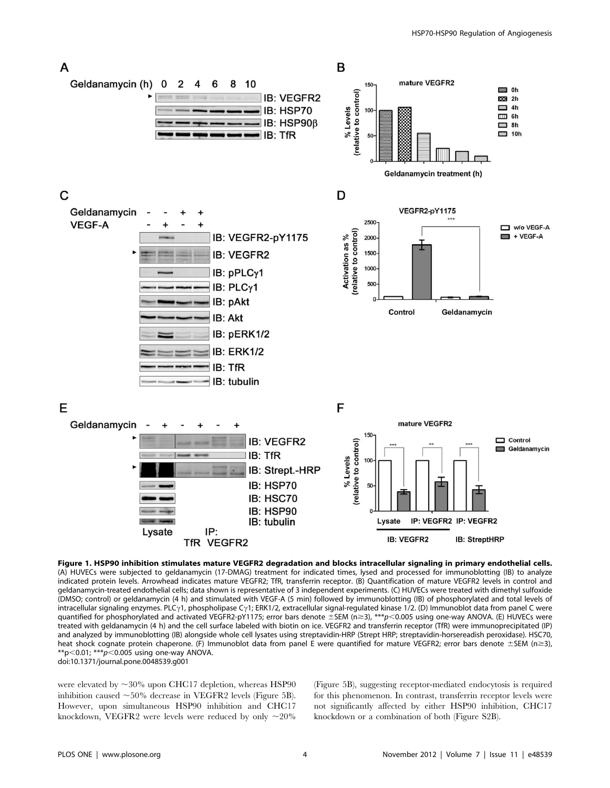

Figure 1. HSP90 inhibition stimulates mature VEGFR2 degradation and blocks intracellular signaling in primary endothelial cells. (A) HUVECs were subjected to geldanamycin (17-DMAG) treatment for indicated times, lysed and processed for immunoblotting (IB) to analyze indicated protein levels. Arrowhead indicates mature VEGFR2; TfR, transferrin receptor. (B) Quantification of mature VEGFR2 levels in control and geldanamycin-treated endothelial cells; data shown is representative of 3 independent experiments. (C) HUVECs were treated with dimethyl sulfoxide (DMSO; control) or geldanamycin (4 h) and stimulated with VEGF-A (5 min) followed by immunoblotting (IB) of phosphorylated and total levels of intracellular signaling enzymes. PLC<sub>Y</sub>1, phospholipase C<sub>Y</sub>1; ERK1/2, extracellular signal-regulated kinase 1/2. (D) Immunoblot data from panel C were quantified for phosphorylated and activated VEGFR2-pY1175; error bars denote  $\pm$  SEM (n  $\geq$  3), \*\*\*p<0.005 using one-way ANOVA. (E) HUVECs were treated with geldanamycin (4 h) and the cell surface labeled with biotin on ice. VEGFR2 and transferrin receptor (TfR) were immunoprecipitated (IP) and analyzed by immunoblotting (IB) alongside whole cell lysates using streptavidin-HRP (Strept HRP; streptavidin-horsereadish peroxidase). HSC70, heat shock cognate protein chaperone. (F) Immunoblot data from panel E were quantified for mature VEGFR2; error bars denote  $\pm$ SEM (n $\geq$ 3), \*\*p<0.01; \*\*\*p<0.005 using one-way ANOVA. doi:10.1371/journal.pone.0048539.g001

were elevated by  $\sim$ 30% upon CHC17 depletion, whereas HSP90 inhibition caused  $\sim$  50% decrease in VEGFR2 levels (Figure 5B). However, upon simultaneous HSP90 inhibition and CHC17 knockdown, VEGFR2 were levels were reduced by only  $\sim$ 20% (Figure 5B), suggesting receptor-mediated endocytosis is required for this phenomenon. In contrast, transferrin receptor levels were not significantly affected by either HSP90 inhibition, CHC17 knockdown or a combination of both (Figure S2B).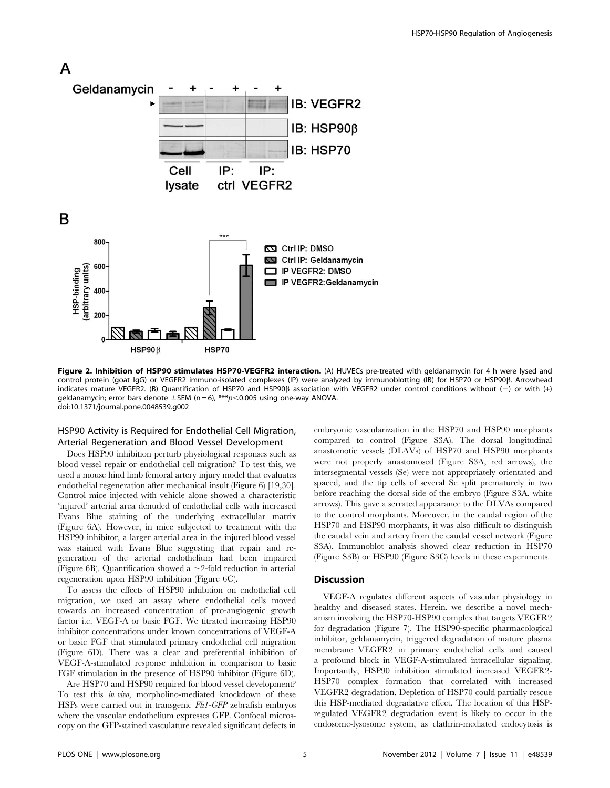

Figure 2. Inhibition of HSP90 stimulates HSP70-VEGFR2 interaction. (A) HUVECs pre-treated with geldanamycin for 4 h were lysed and control protein (goat IgG) or VEGFR2 immuno-isolated complexes (IP) were analyzed by immunoblotting (IB) for HSP70 or HSP90ß. Arrowhead indicates mature VEGFR2. (B) Quantification of HSP70 and HSP90B association with VEGFR2 under control conditions without (-) or with (+) geldanamycin; error bars denote  $\pm$ SEM (n = 6), \*\*\*p $<$ 0.005 using one-way ANOVA. doi:10.1371/journal.pone.0048539.g002

# HSP90 Activity is Required for Endothelial Cell Migration, Arterial Regeneration and Blood Vessel Development

Does HSP90 inhibition perturb physiological responses such as blood vessel repair or endothelial cell migration? To test this, we used a mouse hind limb femoral artery injury model that evaluates endothelial regeneration after mechanical insult (Figure 6) [19,30]. Control mice injected with vehicle alone showed a characteristic 'injured' arterial area denuded of endothelial cells with increased Evans Blue staining of the underlying extracellular matrix (Figure 6A). However, in mice subjected to treatment with the HSP90 inhibitor, a larger arterial area in the injured blood vessel was stained with Evans Blue suggesting that repair and regeneration of the arterial endothelium had been impaired (Figure 6B). Quantification showed a  $\sim$  2-fold reduction in arterial regeneration upon HSP90 inhibition (Figure 6C).

To assess the effects of HSP90 inhibition on endothelial cell migration, we used an assay where endothelial cells moved towards an increased concentration of pro-angiogenic growth factor i.e. VEGF-A or basic FGF. We titrated increasing HSP90 inhibitor concentrations under known concentrations of VEGF-A or basic FGF that stimulated primary endothelial cell migration (Figure 6D). There was a clear and preferential inhibition of VEGF-A-stimulated response inhibition in comparison to basic FGF stimulation in the presence of HSP90 inhibitor (Figure 6D).

Are HSP70 and HSP90 required for blood vessel development? To test this in vivo, morpholino-mediated knockdown of these HSPs were carried out in transgenic Fli1-GFP zebrafish embryos where the vascular endothelium expresses GFP. Confocal microscopy on the GFP-stained vasculature revealed significant defects in embryonic vascularization in the HSP70 and HSP90 morphants compared to control (Figure S3A). The dorsal longitudinal anastomotic vessels (DLAVs) of HSP70 and HSP90 morphants were not properly anastomosed (Figure S3A, red arrows), the intersegmental vessels (Se) were not appropriately orientated and spaced, and the tip cells of several Se split prematurely in two before reaching the dorsal side of the embryo (Figure S3A, white arrows). This gave a serrated appearance to the DLVAs compared to the control morphants. Moreover, in the caudal region of the HSP70 and HSP90 morphants, it was also difficult to distinguish the caudal vein and artery from the caudal vessel network (Figure S3A). Immunoblot analysis showed clear reduction in HSP70 (Figure S3B) or HSP90 (Figure S3C) levels in these experiments.

#### **Discussion**

VEGF-A regulates different aspects of vascular physiology in healthy and diseased states. Herein, we describe a novel mechanism involving the HSP70-HSP90 complex that targets VEGFR2 for degradation (Figure 7). The HSP90-specific pharmacological inhibitor, geldanamycin, triggered degradation of mature plasma membrane VEGFR2 in primary endothelial cells and caused a profound block in VEGF-A-stimulated intracellular signaling. Importantly, HSP90 inhibition stimulated increased VEGFR2- HSP70 complex formation that correlated with increased VEGFR2 degradation. Depletion of HSP70 could partially rescue this HSP-mediated degradative effect. The location of this HSPregulated VEGFR2 degradation event is likely to occur in the endosome-lysosome system, as clathrin-mediated endocytosis is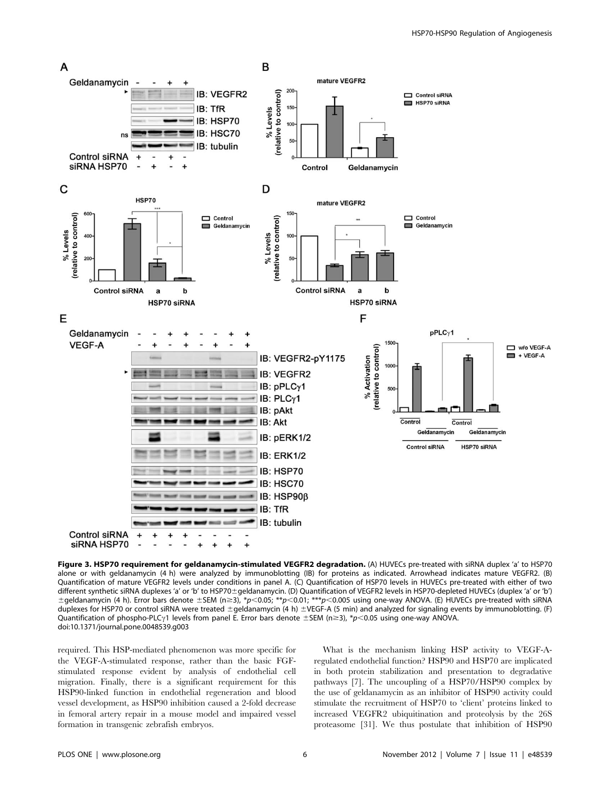

Figure 3. HSP70 requirement for geldanamycin-stimulated VEGFR2 degradation. (A) HUVECs pre-treated with siRNA duplex 'a' to HSP70 alone or with geldanamycin (4 h) were analyzed by immunoblotting (IB) for proteins as indicated. Arrowhead indicates mature VEGFR2. (B) Quantification of mature VEGFR2 levels under conditions in panel A. (C) Quantification of HSP70 levels in HUVECs pre-treated with either of two different synthetic siRNA duplexes 'a' or 'b' to HSP70±geldanamycin. (D) Quantification of VEGFR2 levels in HSP70-depleted HUVECs (duplex 'a' or 'b')  $\pm$ geldanamycin (4 h). Error bars denote  $\pm$ SEM (n $\geq$ 3), \*p<0.05; \*\*p<0.01; \*\*\*p<0.005 using one-way ANOVA. (E) HUVECs pre-treated with siRNA duplexes for HSP70 or control siRNA were treated ±geldanamycin (4 h) ±VEGF-A (5 min) and analyzed for signaling events by immunoblotting. (F) Quantification of phospho-PLC $\gamma$ 1 levels from panel E. Error bars denote ±SEM (n ≥3), \*p<0.05 using one-way ANOVA. doi:10.1371/journal.pone.0048539.g003

required. This HSP-mediated phenomenon was more specific for the VEGF-A-stimulated response, rather than the basic FGFstimulated response evident by analysis of endothelial cell migration. Finally, there is a significant requirement for this HSP90-linked function in endothelial regeneration and blood vessel development, as HSP90 inhibition caused a 2-fold decrease in femoral artery repair in a mouse model and impaired vessel formation in transgenic zebrafish embryos.

What is the mechanism linking HSP activity to VEGF-Aregulated endothelial function? HSP90 and HSP70 are implicated in both protein stabilization and presentation to degradative pathways [7]. The uncoupling of a HSP70/HSP90 complex by the use of geldanamycin as an inhibitor of HSP90 activity could stimulate the recruitment of HSP70 to 'client' proteins linked to increased VEGFR2 ubiquitination and proteolysis by the 26S proteasome [31]. We thus postulate that inhibition of HSP90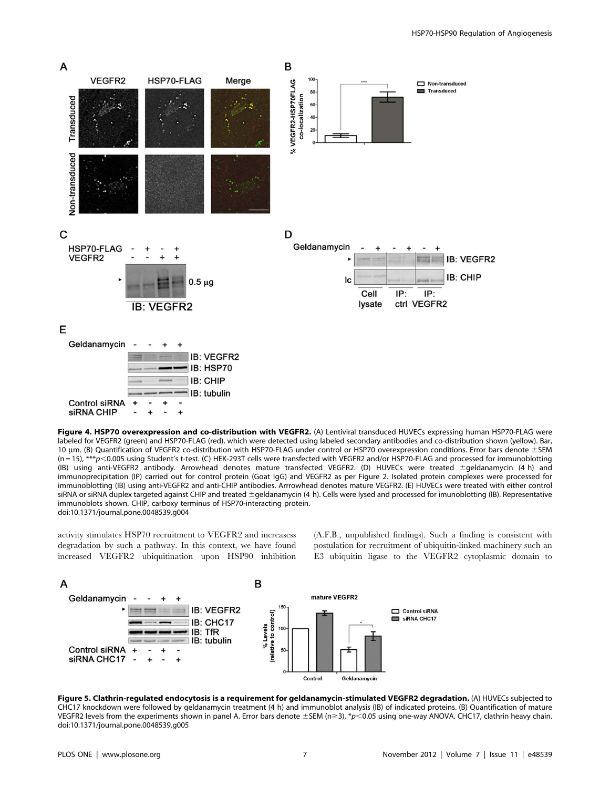

Figure 4. HSP70 overexpression and co-distribution with VEGFR2. (A) Lentiviral transduced HUVECs expressing human HSP70-FLAG were labeled for VEGFR2 (green) and HSP70-FLAG (red), which were detected using labeled secondary antibodies and co-distribution shown (yellow). Bar, 10 um. (B) Quantification of VEGFR2 co-distribution with HSP70-FLAG under control or HSP70 overexpression conditions. Error bars denote ±SEM (n = 15), \*\*\*p<0.005 using Student's t-test. (C) HEK-293T cells were transfected with VEGFR2 and/or HSP70-FLAG and processed for immunoblotting (IB) using anti-VEGFR2 antibody. Arrowhead denotes mature transfected VEGFR2. (D) HUVECs were treated ±geldanamycin (4 h) and immunoprecipitation (IP) carried out for control protein (Goat IgG) and VEGFR2 as per Figure 2. Isolated protein complexes were processed for immunoblotting (IB) using anti-VEGFR2 and anti-CHIP antibodies. Arrrowhead denotes mature VEGFR2. (E) HUVECs were treated with either control siRNA or siRNA duplex targeted against CHIP and treated ±geldanamycin (4 h). Cells were lysed and processed for imunoblotting (IB). Representative immunoblots shown. CHIP, carboxy terminus of HSP70-interacting protein. doi:10.1371/journal.pone.0048539.g004

activity stimulates HSP70 recruitment to VEGFR2 and increasess degradation by such a pathway. In this context, we have found increased VEGFR2 ubiquitination upon HSP90 inhibition (A.F.B., unpublished findings). Such a finding is consistent with postulation for recruitment of ubiquitin-linked machinery such an E3 ubiquitin ligase to the VEGFR2 cytoplasmic domain to



Figure 5. Clathrin-regulated endocytosis is a requirement for geldanamycin-stimulated VEGFR2 degradation. (A) HUVECs subjected to CHC17 knockdown were followed by geldanamycin treatment (4 h) and immunoblot analysis (IB) of indicated proteins. (B) Quantification of mature VEGFR2 levels from the experiments shown in panel A. Error bars denote  $\pm$ SEM (n  $\geq$ 3), \*p<0.05 using one-way ANOVA. CHC17, clathrin heavy chain. doi:10.1371/journal.pone.0048539.g005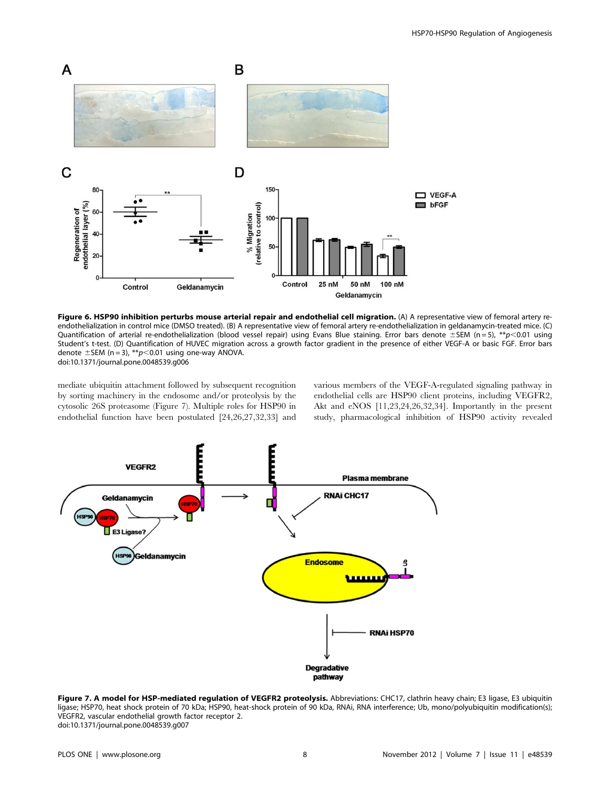

Figure 6. HSP90 inhibition perturbs mouse arterial repair and endothelial cell migration. (A) A representative view of femoral artery reendothelialization in control mice (DMSO treated). (B) A representative view of femoral artery re-endothelialization in geldanamycin-treated mice. (C) Quantification of arterial re-endothelialization (blood vessel repair) using Evans Blue staining. Error bars denote  $\pm$ SEM (n = 5), \*\*p<0.01 using Student's t-test. (D) Quantification of HUVEC migration across a growth factor gradient in the presence of either VEGF-A or basic FGF. Error bars denote  $\pm$  SEM (n = 3), \*\*p<0.01 using one-way ANOVA.

doi:10.1371/journal.pone.0048539.g006

mediate ubiquitin attachment followed by subsequent recognition by sorting machinery in the endosome and/or proteolysis by the cytosolic 26S proteasome (Figure 7). Multiple roles for HSP90 in endothelial function have been postulated [24,26,27,32,33] and

various members of the VEGF-A-regulated signaling pathway in endothelial cells are HSP90 client proteins, including VEGFR2, Akt and eNOS [11,23,24,26,32,34]. Importantly in the present study, pharmacological inhibition of HSP90 activity revealed



Figure 7. A model for HSP-mediated regulation of VEGFR2 proteolysis. Abbreviations: CHC17, clathrin heavy chain; E3 ligase, E3 ubiquitin ligase; HSP70, heat shock protein of 70 kDa; HSP90, heat-shock protein of 90 kDa, RNAi, RNA interference; Ub, mono/polyubiquitin modification(s); VEGFR2, vascular endothelial growth factor receptor 2. doi:10.1371/journal.pone.0048539.g007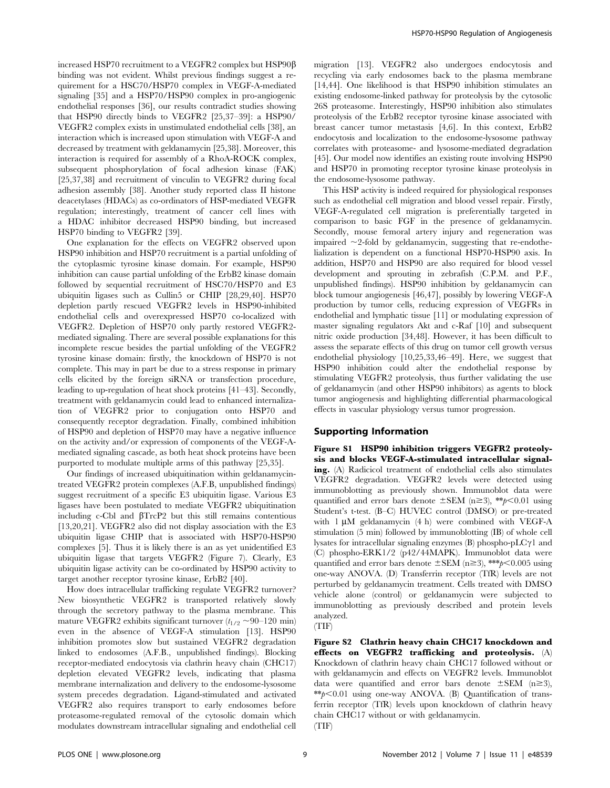increased HSP70 recruitment to a VEGFR2 complex but HSP90 $\beta$ binding was not evident. Whilst previous findings suggest a requirement for a HSC70/HSP70 complex in VEGF-A-mediated signaling [35] and a HSP70/HSP90 complex in pro-angiogenic endothelial responses [36], our results contradict studies showing that HSP90 directly binds to VEGFR2 [25,37–39]: a HSP90/ VEGFR2 complex exists in unstimulated endothelial cells [38], an interaction which is increased upon stimulation with VEGF-A and decreased by treatment with geldanamycin [25,38]. Moreover, this interaction is required for assembly of a RhoA-ROCK complex, subsequent phosphorylation of focal adhesion kinase (FAK) [25,37,38] and recruitment of vinculin to VEGFR2 during focal adhesion assembly [38]. Another study reported class II histone deacetylases (HDACs) as co-ordinators of HSP-mediated VEGFR regulation; interestingly, treatment of cancer cell lines with a HDAC inhibitor decreased HSP90 binding, but increased HSP70 binding to VEGFR2 [39].

One explanation for the effects on VEGFR2 observed upon HSP90 inhibition and HSP70 recruitment is a partial unfolding of the cytoplasmic tyrosine kinase domain. For example, HSP90 inhibition can cause partial unfolding of the ErbB2 kinase domain followed by sequential recruitment of HSC70/HSP70 and E3 ubiquitin ligases such as Cullin5 or CHIP [28,29,40]. HSP70 depletion partly rescued VEGFR2 levels in HSP90-inhibited endothelial cells and overexpressed HSP70 co-localized with VEGFR2. Depletion of HSP70 only partly restored VEGFR2 mediated signaling. There are several possible explanations for this incomplete rescue besides the partial unfolding of the VEGFR2 tyrosine kinase domain: firstly, the knockdown of HSP70 is not complete. This may in part be due to a stress response in primary cells elicited by the foreign siRNA or transfection procedure, leading to up-regulation of heat shock proteins [41–43]. Secondly, treatment with geldanamycin could lead to enhanced internalization of VEGFR2 prior to conjugation onto HSP70 and consequently receptor degradation. Finally, combined inhibition of HSP90 and depletion of HSP70 may have a negative influence on the activity and/or expression of components of the VEGF-Amediated signaling cascade, as both heat shock proteins have been purported to modulate multiple arms of this pathway [25,35].

Our findings of increased ubiquitination within geldanamycintreated VEGFR2 protein complexes (A.F.B, unpublished findings) suggest recruitment of a specific E3 ubiquitin ligase. Various E3 ligases have been postulated to mediate VEGFR2 ubiquitination including  $c$ -Cbl and  $\beta$ TrcP2 but this still remains contentious [13,20,21]. VEGFR2 also did not display association with the E3 ubiquitin ligase CHIP that is associated with HSP70-HSP90 complexes [5]. Thus it is likely there is an as yet unidentified E3 ubiquitin ligase that targets VEGFR2 (Figure 7). Clearly, E3 ubiquitin ligase activity can be co-ordinated by HSP90 activity to target another receptor tyrosine kinase, ErbB2 [40].

How does intracellular trafficking regulate VEGFR2 turnover? New biosynthetic VEGFR2 is transported relatively slowly through the secretory pathway to the plasma membrane. This mature VEGFR2 exhibits significant turnover  $(t_{1/2} \sim 90-120 \text{ min})$ even in the absence of VEGF-A stimulation [13]. HSP90 inhibition promotes slow but sustained VEGFR2 degradation linked to endosomes (A.F.B., unpublished findings). Blocking receptor-mediated endocytosis via clathrin heavy chain (CHC17) depletion elevated VEGFR2 levels, indicating that plasma membrane internalization and delivery to the endosome-lysosome system precedes degradation. Ligand-stimulated and activated VEGFR2 also requires transport to early endosomes before proteasome-regulated removal of the cytosolic domain which modulates downstream intracellular signaling and endothelial cell migration [13]. VEGFR2 also undergoes endocytosis and recycling via early endosomes back to the plasma membrane [14,44]. One likelihood is that HSP90 inhibition stimulates an existing endosome-linked pathway for proteolysis by the cytosolic 26S proteasome. Interestingly, HSP90 inhibition also stimulates proteolysis of the ErbB2 receptor tyrosine kinase associated with breast cancer tumor metastasis [4,6]. In this context, ErbB2 endocytosis and localization to the endosome-lysosome pathway correlates with proteasome- and lysosome-mediated degradation [45]. Our model now identifies an existing route involving HSP90 and HSP70 in promoting receptor tyrosine kinase proteolysis in the endosome-lysosome pathway.

This HSP activity is indeed required for physiological responses such as endothelial cell migration and blood vessel repair. Firstly, VEGF-A-regulated cell migration is preferentially targeted in comparison to basic FGF in the presence of geldanamycin. Secondly, mouse femoral artery injury and regeneration was impaired  $\sim$ 2-fold by geldanamycin, suggesting that re-endothelialization is dependent on a functional HSP70-HSP90 axis. In addition, HSP70 and HSP90 are also required for blood vessel development and sprouting in zebrafish (C.P.M. and P.F., unpublished findings). HSP90 inhibition by geldanamycin can block tumour angiogenesis [46,47], possibly by lowering VEGF-A production by tumor cells, reducing expression of VEGFRs in endothelial and lymphatic tissue [11] or modulating expression of master signaling regulators Akt and c-Raf [10] and subsequent nitric oxide production [34,48]. However, it has been difficult to assess the separate effects of this drug on tumor cell growth versus endothelial physiology [10,25,33,46–49]. Here, we suggest that HSP90 inhibition could alter the endothelial response by stimulating VEGFR2 proteolysis, thus further validating the use of geldanamycin (and other HSP90 inhibitors) as agents to block tumor angiogenesis and highlighting differential pharmacological effects in vascular physiology versus tumor progression.

# Supporting Information

Figure S1 HSP90 inhibition triggers VEGFR2 proteolysis and blocks VEGF-A-stimulated intracellular signaling. (A) Radicicol treatment of endothelial cells also stimulates VEGFR2 degradation. VEGFR2 levels were detected using immunoblotting as previously shown. Immunoblot data were quantified and error bars denote  $\pm$ SEM (n $\geq$ 3), \*\*p $\lt$ 0.01 using Student's t-test. (B–C) HUVEC control (DMSO) or pre-treated with  $1 \mu M$  geldanamycin (4 h) were combined with VEGF-A stimulation (5 min) followed by immunoblotting (IB) of whole cell lysates for intracellular signaling enzymes  $(B)$  phospho-pLC $\gamma$ 1 and (C) phospho-ERK1/2 (p42/44MAPK). Immunoblot data were quantified and error bars denote  $\pm$ SEM (n $\geq$ 3), \*\*\*p $\leq$ 0.005 using one-way ANOVA. (D) Transferrin receptor (TfR) levels are not perturbed by geldanamycin treatment. Cells treated with DMSO vehicle alone (control) or geldanamycin were subjected to immunoblotting as previously described and protein levels analyzed.

(TIF)

Figure S2 Clathrin heavy chain CHC17 knockdown and effects on VEGFR2 trafficking and proteolysis. (A) Knockdown of clathrin heavy chain CHC17 followed without or with geldanamycin and effects on VEGFR2 levels. Immunoblot data were quantified and error bars denote  $\pm$ SEM (n  $\geq$ 3),  $*p$ <0.01 using one-way ANOVA. (B) Quantification of transferrin receptor (TfR) levels upon knockdown of clathrin heavy chain CHC17 without or with geldanamycin.

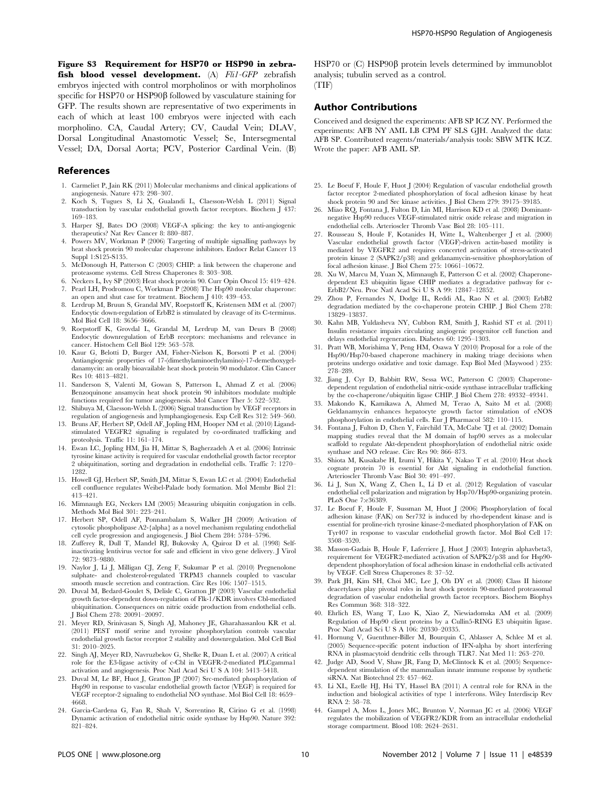Figure S3 Requirement for HSP70 or HSP90 in zebrafish blood vessel development. (A) Fli1-GFP zebrafish embryos injected with control morpholinos or with morpholinos specific for HSP70 or HSP90 $\beta$  followed by vasculature staining for GFP. The results shown are representative of two experiments in each of which at least 100 embryos were injected with each morpholino. CA, Caudal Artery; CV, Caudal Vein; DLAV, Dorsal Longitudinal Anastomotic Vessel; Se, Intersegmental Vessel; DA, Dorsal Aorta; PCV, Posterior Cardinal Vein. (B)

#### References

- 1. Carmeliet P, Jain RK (2011) Molecular mechanisms and clinical applications of angiogenesis. Nature 473: 298–307.
- 2. Koch S, Tugues S, Li X, Gualandi L, Claesson-Welsh L (2011) Signal transduction by vascular endothelial growth factor receptors. Biochem J 437: 169–183.
- 3. Harper SJ, Bates DO (2008) VEGF-A splicing: the key to anti-angiogenic therapeutics? Nat Rev Cancer 8: 880–887.
- Powers MV, Workman P (2006) Targeting of multiple signalling pathways by heat shock protein 90 molecular chaperone inhibitors. Endocr Relat Cancer 13 Suppl 1:S125-S135.
- 5. McDonough H, Patterson C (2003) CHIP: a link between the chaperone and proteasome systems. Cell Stress Chaperones 8: 303–308.
- 6. Neckers L, Ivy SP (2003) Heat shock protein 90. Curr Opin Oncol 15: 419–424. 7. Pearl LH, Prodromou C, Workman P (2008) The Hsp90 molecular chaperone:
- an open and shut case for treatment. Biochem J 410: 439–453. 8. Lerdrup M, Bruun S, Grandal MV, Roepstorff K, Kristensen MM et al. (2007)
- Endocytic down-regulation of ErbB2 is stimulated by cleavage of its C-terminus. Mol Biol Cell 18: 3656–3666.
- 9. Roepstorff K, Grovdal L, Grandal M, Lerdrup M, van Deurs B (2008) Endocytic downregulation of ErbB receptors: mechanisms and relevance in cancer. Histochem Cell Biol 129: 563–578.
- 10. Kaur G, Belotti D, Burger AM, Fisher-Nielson K, Borsotti P et al. (2004) Antiangiogenic properties of 17-(dimethylaminoethylamino)-17-demethoxygeldanamycin: an orally bioavailable heat shock protein 90 modulator. Clin Cancer Res 10: 4813–4821.
- 11. Sanderson S, Valenti M, Gowan S, Patterson L, Ahmad Z et al. (2006) Benzoquinone ansamycin heat shock protein 90 inhibitors modulate multiple functions required for tumor angiogenesis. Mol Cancer Ther 5: 522–532.
- 12. Shibuya M, Claesson-Welsh L (2006) Signal transduction by VEGF receptors in regulation of angiogenesis and lymphangiogenesis. Exp Cell Res 312: 549–560.
- 13. Bruns AF, Herbert SP, Odell AF, Jopling HM, Hooper NM et al. (2010) Ligandstimulated VEGFR2 signaling is regulated by co-ordinated trafficking and proteolysis. Traffic 11: 161–174.
- 14. Ewan LC, Jopling HM, Jia H, Mittar S, Bagherzadeh A et al. (2006) Intrinsic tyrosine kinase activity is required for vascular endothelial growth factor receptor 2 ubiquitination, sorting and degradation in endothelial cells. Traffic 7: 1270– 1282.
- 15. Howell GJ, Herbert SP, Smith JM, Mittar S, Ewan LC et al. (2004) Endothelial cell confluence regulates Weibel-Palade body formation. Mol Membr Biol 21: 413–421.
- 16. Mimnaugh EG, Neckers LM (2005) Measuring ubiquitin conjugation in cells. Methods Mol Biol 301: 223–241.
- 17. Herbert SP, Odell AF, Ponnambalam S, Walker JH (2009) Activation of cytosolic phospholipase A2-{alpha} as a novel mechanism regulating endothelial cell cycle progression and angiogenesis. J Biol Chem 284: 5784–5796.
- 18. Zufferey R, Dull T, Mandel RJ, Bukovsky A, Quiroz D et al. (1998) Selfinactivating lentivirus vector for safe and efficient in vivo gene delivery. J Virol 72: 9873–9880.
- 19. Naylor J, Li J, Milligan CJ, Zeng F, Sukumar P et al. (2010) Pregnenolone sulphate- and cholesterol-regulated TRPM3 channels coupled to vascular smooth muscle secretion and contraction. Circ Res 106: 1507–1515.
- 20. Duval M, Bedard-Goulet S, Delisle C, Gratton JP (2003) Vascular endothelial growth factor-dependent down-regulation of Flk-1/KDR involves Cbl-mediated ubiquitination. Consequences on nitric oxide production from endothelial cells. J Biol Chem 278: 20091–20097.
- 21. Meyer RD, Srinivasan S, Singh AJ, Mahoney JE, Gharahassanlou KR et al. (2011) PEST motif serine and tyrosine phosphorylation controls vascular endothelial growth factor receptor 2 stability and downregulation. Mol Cell Biol 31: 2010–2025.
- 22. Singh AJ, Meyer RD, Navruzbekov G, Shelke R, Duan L et al. (2007) A critical role for the E3-ligase activity of c-Cbl in VEGFR-2-mediated PLCgamma1 activation and angiogenesis. Proc Natl Acad Sci U S A 104: 5413–5418.
- 23. Duval M, Le BF, Huot J, Gratton JP (2007) Src-mediated phosphorylation of Hsp90 in response to vascular endothelial growth factor (VEGF) is required for VEGF receptor-2 signaling to endothelial NO synthase. Mol Biol Cell 18: 4659– 4668.
- 24. Garcia-Cardena G, Fan R, Shah V, Sorrentino R, Cirino G et al. (1998) Dynamic activation of endothelial nitric oxide synthase by Hsp90. Nature 392: 821–824.

HSP70 or  $(C)$  HSP90 $\beta$  protein levels determined by immunoblot analysis; tubulin served as a control. (TIF)

#### Author Contributions

Conceived and designed the experiments: AFB SP ICZ NY. Performed the experiments: AFB NY AML LB CPM PF SLS GJH. Analyzed the data: AFB SP. Contributed reagents/materials/analysis tools: SBW MTK ICZ. Wrote the paper: AFB AML SP.

- 25. Le Boeuf F, Houle F, Huot J (2004) Regulation of vascular endothelial growth factor receptor 2-mediated phosphorylation of focal adhesion kinase by heat shock protein 90 and Src kinase activities. J Biol Chem 279: 39175–39185.
- 26. Miao RQ, Fontana J, Fulton D, Lin MI, Harrison KD et al. (2008) Dominantnegative Hsp90 reduces VEGF-stimulated nitric oxide release and migration in endothelial cells. Arterioscler Thromb Vasc Biol 28: 105–111.
- 27. Rousseau S, Houle F, Kotanides H, Witte L, Waltenberger J et al. (2000) Vascular endothelial growth factor (VEGF)-driven actin-based motility is mediated by VEGFR2 and requires concerted activation of stress-activated protein kinase 2 (SAPK2/p38) and geldanamycin-sensitive phosphorylation of focal adhesion kinase. J Biol Chem 275: 10661–10672.
- 28. Xu W, Marcu M, Yuan X, Mimnaugh E, Patterson C et al. (2002) Chaperonedependent E3 ubiquitin ligase CHIP mediates a degradative pathway for c-ErbB2/Neu. Proc Natl Acad Sci U S A 99: 12847–12852.
- 29. Zhou P, Fernandes N, Dodge IL, Reddi AL, Rao N et al. (2003) ErbB2 degradation mediated by the co-chaperone protein CHIP. J Biol Chem 278: 13829–13837.
- 30. Kahn MB, Yuldasheva NY, Cubbon RM, Smith J, Rashid ST et al. (2011) Insulin resistance impairs circulating angiogenic progenitor cell function and delays endothelial regeneration. Diabetes 60: 1295–1303.
- 31. Pratt WB, Morishima Y, Peng HM, Osawa Y (2010) Proposal for a role of the Hsp90/Hsp70-based chaperone machinery in making triage decisions when proteins undergo oxidative and toxic damage. Exp Biol Med (Maywood ) 235: 278–289.
- 32. Jiang J, Cyr D, Babbitt RW, Sessa WC, Patterson C (2003) Chaperonedependent regulation of endothelial nitric-oxide synthase intracellular trafficking by the co-chaperone/ubiquitin ligase CHIP. J Biol Chem 278: 49332–49341.
- 33. Makondo K, Kamikawa A, Ahmed M, Terao A, Saito M et al. (2008) Geldanamycin enhances hepatocyte growth factor stimulation of eNOS phosphorylation in endothelial cells. Eur J Pharmacol 582: 110–115.
- 34. Fontana J, Fulton D, Chen Y, Fairchild TA, McCabe TJ et al. (2002) Domain mapping studies reveal that the M domain of hsp90 serves as a molecular scaffold to regulate Akt-dependent phosphorylation of endothelial nitric oxide synthase and NO release. Circ Res 90: 866–873.
- 35. Shiota M, Kusakabe H, Izumi Y, Hikita Y, Nakao T et al. (2010) Heat shock cognate protein 70 is essential for Akt signaling in endothelial function. Arterioscler Thromb Vasc Biol 30: 491–497.
- 36. Li J, Sun X, Wang Z, Chen L, Li D et al. (2012) Regulation of vascular endothelial cell polarization and migration by Hsp70/Hsp90-organizing protein. PLoS One 7:e36389.
- 37. Le Boeuf F, Houle F, Sussman M, Huot J (2006) Phosphorylation of focal adhesion kinase (FAK) on Ser732 is induced by rho-dependent kinase and is essential for proline-rich tyrosine kinase-2-mediated phosphorylation of FAK on Tyr407 in response to vascular endothelial growth factor. Mol Biol Cell 17: 3508–3520.
- 38. Masson-Gadais B, Houle F, Laferriere J, Huot J (2003) Integrin alphavbeta3, requirement for VEGFR2-mediated activation of SAPK2/p38 and for Hsp90 dependent phosphorylation of focal adhesion kinase in endothelial cells activated by VEGF. Cell Stress Chaperones 8: 37–52.
- 39. Park JH, Kim SH, Choi MC, Lee J, Oh DY et al. (2008) Class II histone deacetylases play pivotal roles in heat shock protein 90-mediated proteasomal degradation of vascular endothelial growth factor receptors. Biochem Biophys Res Commun 368: 318–322.
- 40. Ehrlich ES, Wang T, Luo K, Xiao Z, Niewiadomska AM et al. (2009) Regulation of Hsp90 client proteins by a Cullin5-RING E3 ubiquitin ligase. Proc Natl Acad Sci U S A 106: 20330–20335.
- 41. Hornung V, Guenthner-Biller M, Bourquin C, Ablasser A, Schlee M et al. (2005) Sequence-specific potent induction of IFN-alpha by short interfering RNA in plasmacytoid dendritic cells through TLR7. Nat Med 11: 263–270.
- Judge AD, Sood V, Shaw JR, Fang D, McClintock K et al. (2005) Sequencedependent stimulation of the mammalian innate immune response by synthetic siRNA. Nat Biotechnol 23: 457–462.
- 43. Li XL, Ezelle HJ, Hsi TY, Hassel BA (2011) A central role for RNA in the induction and biological activities of type 1 interferons. Wiley Interdiscip Rev RNA 2: 58–78.
- 44. Gampel A, Moss L, Jones MC, Brunton V, Norman JC et al. (2006) VEGF regulates the mobilization of VEGFR2/KDR from an intracellular endothelial storage compartment. Blood 108: 2624–2631.